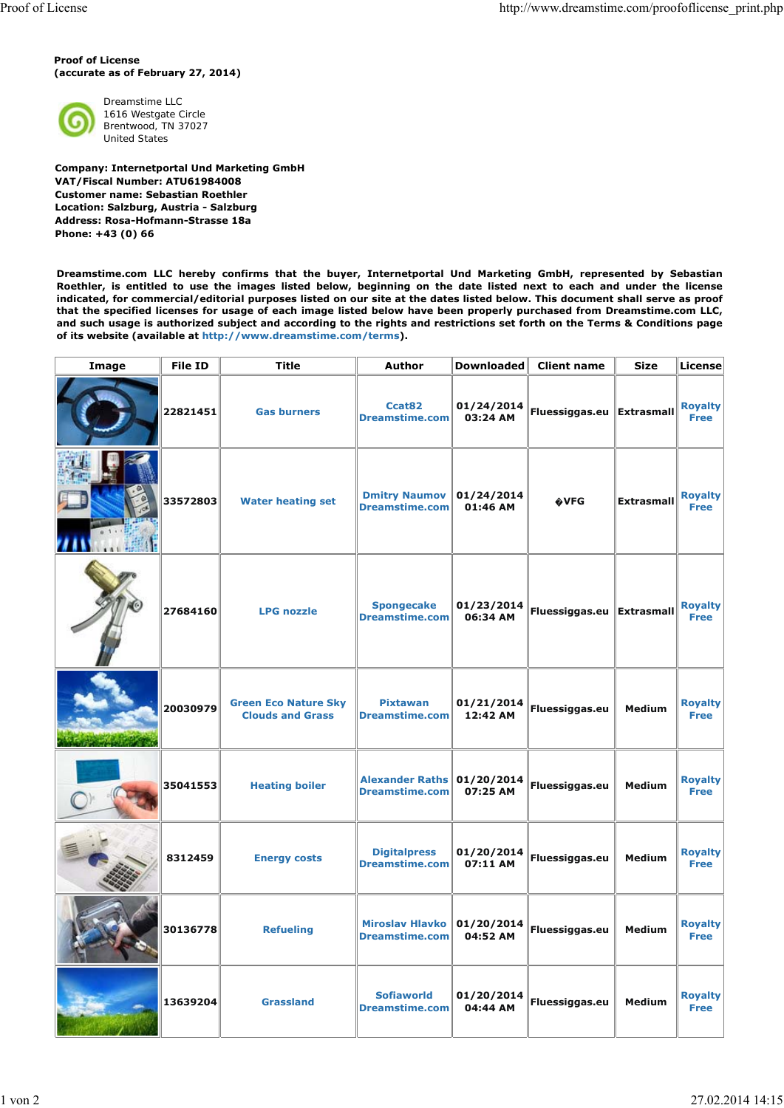**Proof of License (accurate as of February 27, 2014)**



Dreamstime LLC 1616 Westgate Circle Brentwood, TN 37027 United States

**Company: Internetportal Und Marketing GmbH VAT/Fiscal Number: ATU61984008 Customer name: Sebastian Roethler Location: Salzburg, Austria - Salzburg Address: Rosa-Hofmann-Strasse 18a Phone: +43 (0) 66**

**Dreamstime.com LLC hereby confirms that the buyer, Internetportal Und Marketing GmbH, represented by Sebastian Roethler, is entitled to use the images listed below, beginning on the date listed next to each and under the license indicated, for commercial/editorial purposes listed on our site at the dates listed below. This document shall serve as proof that the specified licenses for usage of each image listed below have been properly purchased from Dreamstime.com LLC, and such usage is authorized subject and according to the rights and restrictions set forth on the Terms & Conditions page of its website (available at http://www.dreamstime.com/terms).**

| Image | <b>File ID</b> | <b>Title</b>                                           | <b>Author</b>                                   | <b>Downloaded</b>      | <b>Client name</b>          | <b>Size</b>       | <b>License</b>                |
|-------|----------------|--------------------------------------------------------|-------------------------------------------------|------------------------|-----------------------------|-------------------|-------------------------------|
|       | 22821451       | <b>Gas burners</b>                                     | Ccat82<br><b>Dreamstime.com</b>                 | 01/24/2014<br>03:24 AM | Fluessiggas.eu Extrasmall   |                   | <b>Royalty</b><br><b>Free</b> |
|       | 33572803       | <b>Water heating set</b>                               | <b>Dmitry Naumov</b><br><b>Dreamstime.com</b>   | 01/24/2014<br>01:46 AM | <b>OVFG</b>                 | <b>Extrasmall</b> | <b>Royalty</b><br><b>Free</b> |
|       | 27684160       | <b>LPG nozzle</b>                                      | <b>Spongecake</b><br><b>Dreamstime.com</b>      | 01/23/2014<br>06:34 AM | Fluessiggas.eu   Extrasmall |                   | <b>Royalty</b><br><b>Free</b> |
|       | 20030979       | <b>Green Eco Nature Sky</b><br><b>Clouds and Grass</b> | <b>Pixtawan</b><br><b>Dreamstime.com</b>        | 01/21/2014<br>12:42 AM | Fluessiggas.eu              | <b>Medium</b>     | <b>Royalty</b><br>Free        |
|       | 35041553       | <b>Heating boiler</b>                                  | <b>Alexander Raths</b><br><b>Dreamstime.com</b> | 01/20/2014<br>07:25 AM | Fluessiggas.eu              | <b>Medium</b>     | <b>Royalty</b><br><b>Free</b> |
|       | 8312459        | <b>Energy costs</b>                                    | <b>Digitalpress</b><br><b>Dreamstime.com</b>    | 01/20/2014<br>07:11 AM | Fluessiggas.eu              | <b>Medium</b>     | <b>Royalty</b><br><b>Free</b> |
|       | 30136778       | <b>Refueling</b>                                       | <b>Miroslav Hlavko</b><br><b>Dreamstime.com</b> | 01/20/2014<br>04:52 AM | Fluessiggas.eu              | <b>Medium</b>     | <b>Royalty</b><br><b>Free</b> |
|       | 13639204       | <b>Grassland</b>                                       | <b>Sofiaworld</b><br><b>Dreamstime.com</b>      | 01/20/2014<br>04:44 AM | Fluessiggas.eu              | Medium            | <b>Royalty</b><br><b>Free</b> |